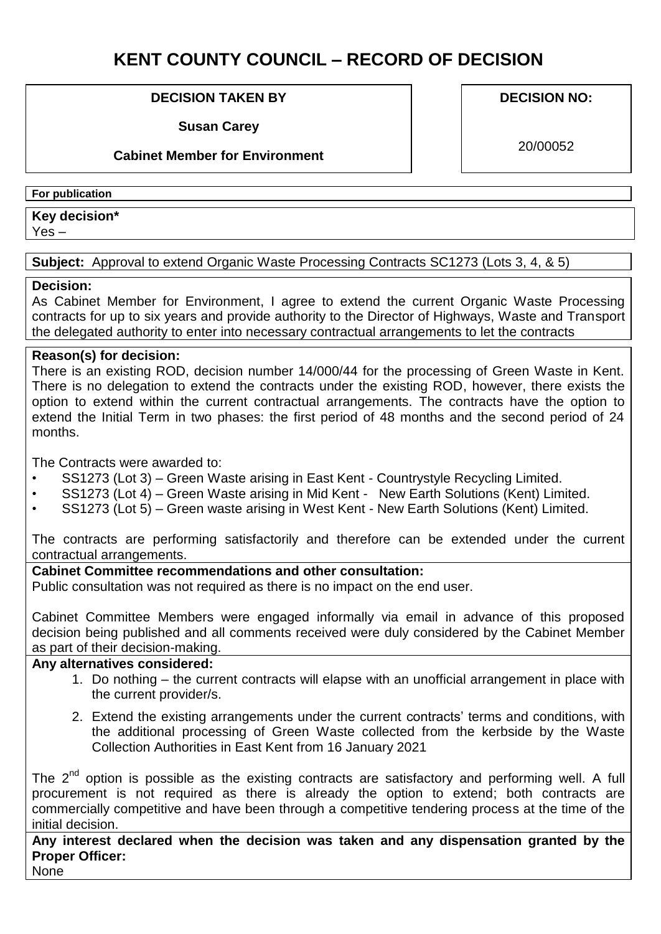# **KENT COUNTY COUNCIL – RECORD OF DECISION**

#### **DECISION TAKEN BY**

**Susan Carey** 

#### **Cabinet Member for Environment**

**DECISION NO:**

20/00052

#### **For publication**

## **Key decision\***

Yes –

#### **Subject:** Approval to extend Organic Waste Processing Contracts SC1273 (Lots 3, 4, & 5)

#### **Decision:**

As Cabinet Member for Environment, I agree to extend the current Organic Waste Processing contracts for up to six years and provide authority to the Director of Highways, Waste and Transport the delegated authority to enter into necessary contractual arrangements to let the contracts

#### **Reason(s) for decision:**

There is an existing ROD, decision number 14/000/44 for the processing of Green Waste in Kent. There is no delegation to extend the contracts under the existing ROD, however, there exists the option to extend within the current contractual arrangements. The contracts have the option to extend the Initial Term in two phases: the first period of 48 months and the second period of 24 months.

The Contracts were awarded to:

- SS1273 (Lot 3) Green Waste arising in East Kent Countrystyle Recycling Limited.
- SS1273 (Lot 4) Green Waste arising in Mid Kent New Earth Solutions (Kent) Limited.
- SS1273 (Lot 5) Green waste arising in West Kent New Earth Solutions (Kent) Limited.

The contracts are performing satisfactorily and therefore can be extended under the current contractual arrangements.

### **Cabinet Committee recommendations and other consultation:**

Public consultation was not required as there is no impact on the end user.

Cabinet Committee Members were engaged informally via email in advance of this proposed decision being published and all comments received were duly considered by the Cabinet Member as part of their decision-making.

## **Any alternatives considered:**

- 1. Do nothing the current contracts will elapse with an unofficial arrangement in place with the current provider/s.
- 2. Extend the existing arrangements under the current contracts' terms and conditions, with the additional processing of Green Waste collected from the kerbside by the Waste Collection Authorities in East Kent from 16 January 2021

The 2<sup>nd</sup> option is possible as the existing contracts are satisfactory and performing well. A full procurement is not required as there is already the option to extend; both contracts are commercially competitive and have been through a competitive tendering process at the time of the initial decision.

**Any interest declared when the decision was taken and any dispensation granted by the Proper Officer:** 

None